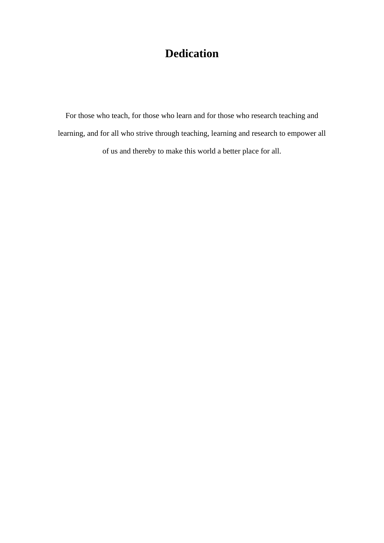## **Dedication**

For those who teach, for those who learn and for those who research teaching and learning, and for all who strive through teaching, learning and research to empower all of us and thereby to make this world a better place for all.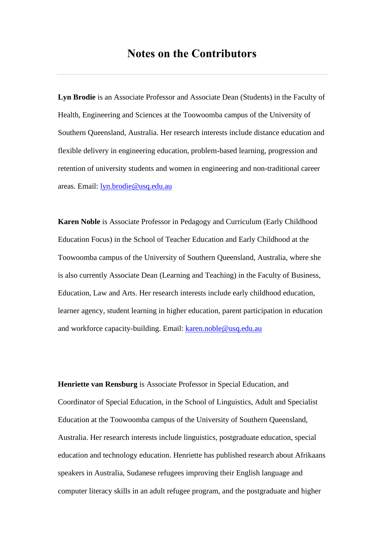## **Notes on the Contributors**

**Lyn Brodie** is an Associate Professor and Associate Dean (Students) in the Faculty of Health, Engineering and Sciences at the Toowoomba campus of the University of Southern Queensland, Australia. Her research interests include distance education and flexible delivery in engineering education, problem-based learning, progression and retention of university students and women in engineering and non-traditional career areas. Email: [lyn.brodie@usq.edu.au](mailto:lyn.brodie@usq.edu.au)

**Karen Noble** is Associate Professor in Pedagogy and Curriculum (Early Childhood Education Focus) in the School of Teacher Education and Early Childhood at the Toowoomba campus of the University of Southern Queensland, Australia, where she is also currently Associate Dean (Learning and Teaching) in the Faculty of Business, Education, Law and Arts. Her research interests include early childhood education, learner agency, student learning in higher education, parent participation in education and workforce capacity-building. Email: [karen.noble@usq.edu.au](mailto:karen.noble@usq.edu.au)

**Henriette van Rensburg** is Associate Professor in Special Education, and Coordinator of Special Education, in the School of Linguistics, Adult and Specialist Education at the Toowoomba campus of the University of Southern Queensland, Australia. Her research interests include linguistics, postgraduate education, special education and technology education. Henriette has published research about Afrikaans speakers in Australia, Sudanese refugees improving their English language and computer literacy skills in an adult refugee program, and the postgraduate and higher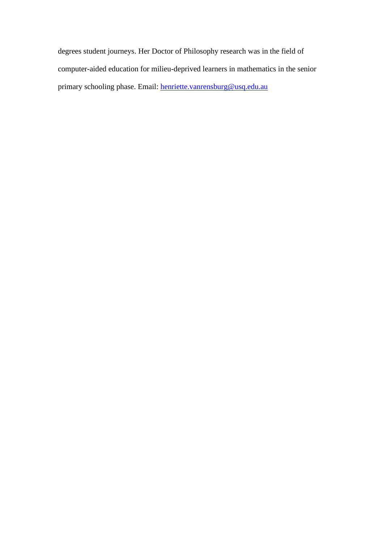degrees student journeys. Her Doctor of Philosophy research was in the field of computer-aided education for milieu-deprived learners in mathematics in the senior primary schooling phase. Email: [henriette.vanrensburg@usq.edu.au](mailto:henriette.vanrensburg@usq.edu.au)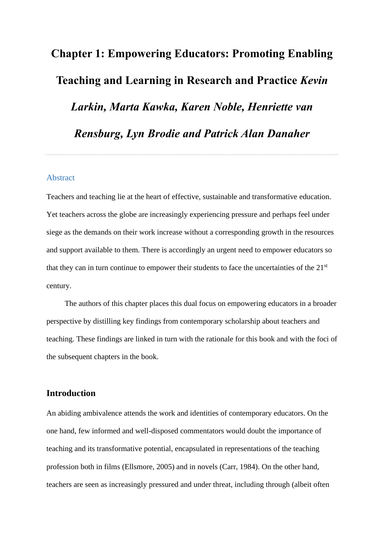# **Chapter 1: Empowering Educators: Promoting Enabling Teaching and Learning in Research and Practice** *Kevin Larkin, Marta Kawka, Karen Noble, Henriette van Rensburg, Lyn Brodie and Patrick Alan Danaher*

#### Abstract

Teachers and teaching lie at the heart of effective, sustainable and transformative education. Yet teachers across the globe are increasingly experiencing pressure and perhaps feel under siege as the demands on their work increase without a corresponding growth in the resources and support available to them. There is accordingly an urgent need to empower educators so that they can in turn continue to empower their students to face the uncertainties of the 21st century.

The authors of this chapter places this dual focus on empowering educators in a broader perspective by distilling key findings from contemporary scholarship about teachers and teaching. These findings are linked in turn with the rationale for this book and with the foci of the subsequent chapters in the book.

## **Introduction**

An abiding ambivalence attends the work and identities of contemporary educators. On the one hand, few informed and well-disposed commentators would doubt the importance of teaching and its transformative potential, encapsulated in representations of the teaching profession both in films (Ellsmore, 2005) and in novels (Carr, 1984). On the other hand, teachers are seen as increasingly pressured and under threat, including through (albeit often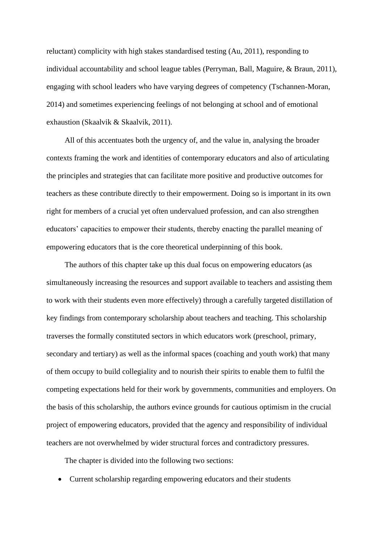reluctant) complicity with high stakes standardised testing (Au, 2011), responding to individual accountability and school league tables (Perryman, Ball, Maguire, & Braun, 2011), engaging with school leaders who have varying degrees of competency (Tschannen-Moran, 2014) and sometimes experiencing feelings of not belonging at school and of emotional exhaustion (Skaalvik & Skaalvik, 2011).

All of this accentuates both the urgency of, and the value in, analysing the broader contexts framing the work and identities of contemporary educators and also of articulating the principles and strategies that can facilitate more positive and productive outcomes for teachers as these contribute directly to their empowerment. Doing so is important in its own right for members of a crucial yet often undervalued profession, and can also strengthen educators' capacities to empower their students, thereby enacting the parallel meaning of empowering educators that is the core theoretical underpinning of this book.

The authors of this chapter take up this dual focus on empowering educators (as simultaneously increasing the resources and support available to teachers and assisting them to work with their students even more effectively) through a carefully targeted distillation of key findings from contemporary scholarship about teachers and teaching. This scholarship traverses the formally constituted sectors in which educators work (preschool, primary, secondary and tertiary) as well as the informal spaces (coaching and youth work) that many of them occupy to build collegiality and to nourish their spirits to enable them to fulfil the competing expectations held for their work by governments, communities and employers. On the basis of this scholarship, the authors evince grounds for cautious optimism in the crucial project of empowering educators, provided that the agency and responsibility of individual teachers are not overwhelmed by wider structural forces and contradictory pressures.

The chapter is divided into the following two sections:

• Current scholarship regarding empowering educators and their students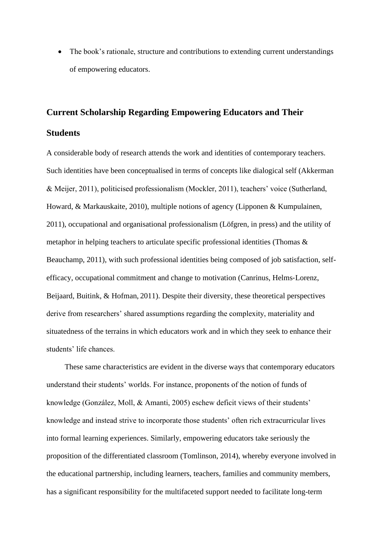• The book's rationale, structure and contributions to extending current understandings of empowering educators.

# **Current Scholarship Regarding Empowering Educators and Their Students**

A considerable body of research attends the work and identities of contemporary teachers. Such identities have been conceptualised in terms of concepts like dialogical self (Akkerman & Meijer, 2011), politicised professionalism (Mockler, 2011), teachers' voice (Sutherland, Howard, & Markauskaite, 2010), multiple notions of agency [\(Lipponen](http://www.sciencedirect.com/science/article/pii/S0742051X11000023) & [Kumpulainen,](http://www.sciencedirect.com/science/article/pii/S0742051X11000023) 2011), occupational and organisational professionalism (Löfgren, in press) and the utility of metaphor in helping teachers to articulate specific professional identities (Thomas & Beauchamp, 2011), with such professional identities being composed of job satisfaction, selfefficacy, occupational commitment and change to motivation (Canrinus, Helms‐Lorenz, Beijaard, Buitink, & Hofman, 2011). Despite their diversity, these theoretical perspectives derive from researchers' shared assumptions regarding the complexity, materiality and situatedness of the terrains in which educators work and in which they seek to enhance their students' life chances.

These same characteristics are evident in the diverse ways that contemporary educators understand their students' worlds. For instance, proponents of the notion of funds of knowledge (González, Moll, & Amanti, 2005) eschew deficit views of their students' knowledge and instead strive to incorporate those students' often rich extracurricular lives into formal learning experiences. Similarly, empowering educators take seriously the proposition of the differentiated classroom (Tomlinson, 2014), whereby everyone involved in the educational partnership, including learners, teachers, families and community members, has a significant responsibility for the multifaceted support needed to facilitate long-term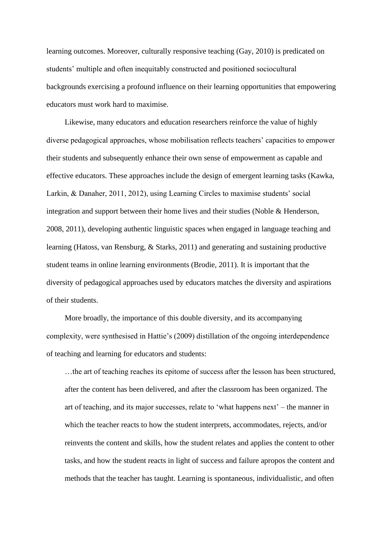learning outcomes. Moreover, culturally responsive teaching (Gay, 2010) is predicated on students' multiple and often inequitably constructed and positioned sociocultural backgrounds exercising a profound influence on their learning opportunities that empowering educators must work hard to maximise.

Likewise, many educators and education researchers reinforce the value of highly diverse pedagogical approaches, whose mobilisation reflects teachers' capacities to empower their students and subsequently enhance their own sense of empowerment as capable and effective educators. These approaches include the design of emergent learning tasks (Kawka, Larkin, & Danaher, 2011, 2012), using Learning Circles to maximise students' social integration and support between their home lives and their studies (Noble & Henderson, 2008, 2011), developing authentic linguistic spaces when engaged in language teaching and learning (Hatoss, van Rensburg, & Starks, 2011) and generating and sustaining productive student teams in online learning environments (Brodie, 2011). It is important that the diversity of pedagogical approaches used by educators matches the diversity and aspirations of their students.

More broadly, the importance of this double diversity, and its accompanying complexity, were synthesised in Hattie's (2009) distillation of the ongoing interdependence of teaching and learning for educators and students:

…the art of teaching reaches its epitome of success after the lesson has been structured, after the content has been delivered, and after the classroom has been organized. The art of teaching, and its major successes, relate to 'what happens next' – the manner in which the teacher reacts to how the student interprets, accommodates, rejects, and/or reinvents the content and skills, how the student relates and applies the content to other tasks, and how the student reacts in light of success and failure apropos the content and methods that the teacher has taught. Learning is spontaneous, individualistic, and often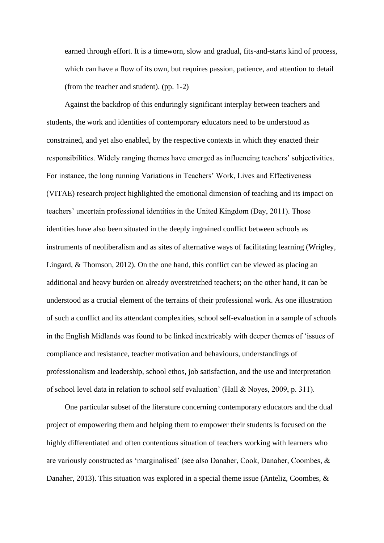earned through effort. It is a timeworn, slow and gradual, fits-and-starts kind of process, which can have a flow of its own, but requires passion, patience, and attention to detail (from the teacher and student). (pp. 1-2)

Against the backdrop of this enduringly significant interplay between teachers and students, the work and identities of contemporary educators need to be understood as constrained, and yet also enabled, by the respective contexts in which they enacted their responsibilities. Widely ranging themes have emerged as influencing teachers' subjectivities. For instance, the long running Variations in Teachers' Work, Lives and Effectiveness (VITAE) research project highlighted the emotional dimension of teaching and its impact on teachers' uncertain professional identities in the United Kingdom (Day, 2011). Those identities have also been situated in the deeply ingrained conflict between schools as instruments of neoliberalism and as sites of alternative ways of facilitating learning (Wrigley, Lingard, & Thomson, 2012). On the one hand, this conflict can be viewed as placing an additional and heavy burden on already overstretched teachers; on the other hand, it can be understood as a crucial element of the terrains of their professional work. As one illustration of such a conflict and its attendant complexities, school self-evaluation in a sample of schools in the English Midlands was found to be linked inextricably with deeper themes of 'issues of compliance and resistance, teacher motivation and behaviours, understandings of professionalism and leadership, school ethos, job satisfaction, and the use and interpretation of school level data in relation to school self evaluation' (Hall & Noyes, 2009, p. 311).

One particular subset of the literature concerning contemporary educators and the dual project of empowering them and helping them to empower their students is focused on the highly differentiated and often contentious situation of teachers working with learners who are variously constructed as 'marginalised' (see also Danaher, Cook, Danaher, Coombes, & Danaher, 2013). This situation was explored in a special theme issue (Anteliz, Coombes, &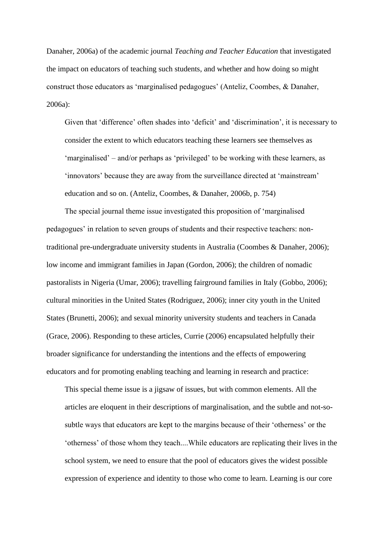Danaher, 2006a) of the academic journal *Teaching and Teacher Education* that investigated the impact on educators of teaching such students, and whether and how doing so might construct those educators as 'marginalised pedagogues' (Anteliz, Coombes, & Danaher, 2006a):

Given that 'difference' often shades into 'deficit' and 'discrimination', it is necessary to consider the extent to which educators teaching these learners see themselves as 'marginalised' – and/or perhaps as 'privileged' to be working with these learners, as 'innovators' because they are away from the surveillance directed at 'mainstream' education and so on. (Anteliz, Coombes, & Danaher, 2006b, p. 754)

The special journal theme issue investigated this proposition of 'marginalised pedagogues' in relation to seven groups of students and their respective teachers: nontraditional pre-undergraduate university students in Australia (Coombes & Danaher, 2006); low income and immigrant families in Japan (Gordon, 2006); the children of nomadic pastoralists in Nigeria (Umar, 2006); travelling fairground families in Italy (Gobbo, 2006); cultural minorities in the United States (Rodriguez, 2006); inner city youth in the United States (Brunetti, 2006); and sexual minority university students and teachers in Canada (Grace, 2006). Responding to these articles, Currie (2006) encapsulated helpfully their broader significance for understanding the intentions and the effects of empowering educators and for promoting enabling teaching and learning in research and practice:

This special theme issue is a jigsaw of issues, but with common elements. All the articles are eloquent in their descriptions of marginalisation, and the subtle and not-sosubtle ways that educators are kept to the margins because of their 'otherness' or the 'otherness' of those whom they teach....While educators are replicating their lives in the school system, we need to ensure that the pool of educators gives the widest possible expression of experience and identity to those who come to learn. Learning is our core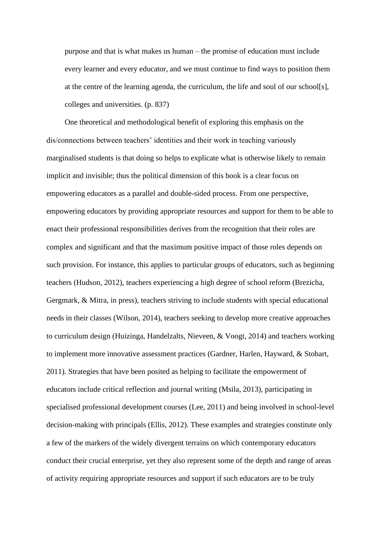purpose and that is what makes us human – the promise of education must include every learner and every educator, and we must continue to find ways to position them at the centre of the learning agenda, the curriculum, the life and soul of our school[s], colleges and universities. (p. 837)

One theoretical and methodological benefit of exploring this emphasis on the dis/connections between teachers' identities and their work in teaching variously marginalised students is that doing so helps to explicate what is otherwise likely to remain implicit and invisible; thus the political dimension of this book is a clear focus on empowering educators as a parallel and double-sided process. From one perspective, empowering educators by providing appropriate resources and support for them to be able to enact their professional responsibilities derives from the recognition that their roles are complex and significant and that the maximum positive impact of those roles depends on such provision. For instance, this applies to particular groups of educators, such as beginning teachers (Hudson, 2012), teachers experiencing a high degree of school reform (Brezicha, Gergmark, & Mitra, in press), teachers striving to include students with special educational needs in their classes (Wilson, 2014), teachers seeking to develop more creative approaches to curriculum design (Huizinga, Handelzalts, Nieveen, & Voogt, 2014) and teachers working to implement more innovative assessment practices (Gardner, Harlen, Hayward, & Stobart, 2011). Strategies that have been posited as helping to facilitate the empowerment of educators include critical reflection and journal writing (Msila, 2013), participating in specialised professional development courses (Lee, 2011) and being involved in school-level decision-making with principals (Ellis, 2012). These examples and strategies constitute only a few of the markers of the widely divergent terrains on which contemporary educators conduct their crucial enterprise, yet they also represent some of the depth and range of areas of activity requiring appropriate resources and support if such educators are to be truly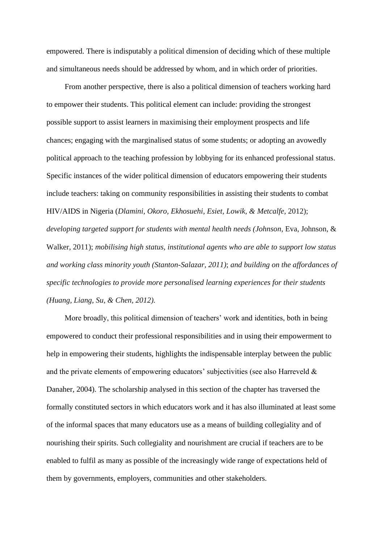empowered. There is indisputably a political dimension of deciding which of these multiple and simultaneous needs should be addressed by whom, and in which order of priorities.

From another perspective, there is also a political dimension of teachers working hard to empower their students. This political element can include: providing the strongest possible support to assist learners in maximising their employment prospects and life chances; engaging with the marginalised status of some students; or adopting an avowedly political approach to the teaching profession by lobbying for its enhanced professional status. Specific instances of the wider political dimension of educators empowering their students include teachers: taking on community responsibilities in assisting their students to combat HIV/AIDS in Nigeria (*Dlamini, Okoro, Ekhosuehi, Esiet, Lowik, & Metcalfe,* 2012); *developing targeted support for students with mental health needs (Johnson*, Eva, Johnson, & Walker, 2011); *mobilising high status, institutional agents who are able to support low status and working class minority youth (Stanton-Salazar, 2011)*; *and building on the affordances of specific technologies to provide more personalised learning experiences for their students (Huang, Liang, Su, & Chen, 2012).*

More broadly, this political dimension of teachers' work and identities, both in being empowered to conduct their professional responsibilities and in using their empowerment to help in empowering their students, highlights the indispensable interplay between the public and the private elements of empowering educators' subjectivities (see also Harreveld & Danaher, 2004). The scholarship analysed in this section of the chapter has traversed the formally constituted sectors in which educators work and it has also illuminated at least some of the informal spaces that many educators use as a means of building collegiality and of nourishing their spirits. Such collegiality and nourishment are crucial if teachers are to be enabled to fulfil as many as possible of the increasingly wide range of expectations held of them by governments, employers, communities and other stakeholders.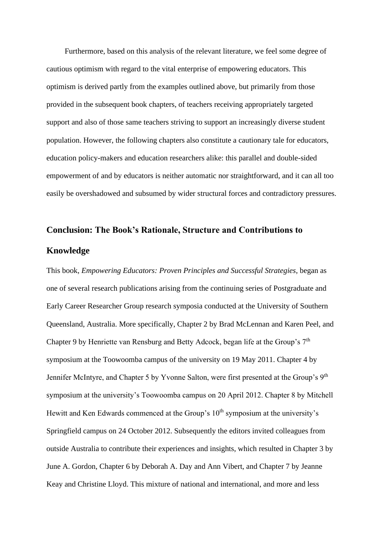Furthermore, based on this analysis of the relevant literature, we feel some degree of cautious optimism with regard to the vital enterprise of empowering educators. This optimism is derived partly from the examples outlined above, but primarily from those provided in the subsequent book chapters, of teachers receiving appropriately targeted support and also of those same teachers striving to support an increasingly diverse student population. However, the following chapters also constitute a cautionary tale for educators, education policy-makers and education researchers alike: this parallel and double-sided empowerment of and by educators is neither automatic nor straightforward, and it can all too easily be overshadowed and subsumed by wider structural forces and contradictory pressures.

# **Conclusion: The Book's Rationale, Structure and Contributions to Knowledge**

This book, *Empowering Educators: Proven Principles and Successful Strategies*, began as one of several research publications arising from the continuing series of Postgraduate and Early Career Researcher Group research symposia conducted at the University of Southern Queensland, Australia. More specifically, Chapter 2 by Brad McLennan and Karen Peel, and Chapter 9 by Henriette van Rensburg and Betty Adcock, began life at the Group's 7<sup>th</sup> symposium at the Toowoomba campus of the university on 19 May 2011. Chapter 4 by Jennifer McIntyre, and Chapter 5 by Yvonne Salton, were first presented at the Group's 9<sup>th</sup> symposium at the university's Toowoomba campus on 20 April 2012. Chapter 8 by Mitchell Hewitt and Ken Edwards commenced at the Group's  $10<sup>th</sup>$  symposium at the university's Springfield campus on 24 October 2012. Subsequently the editors invited colleagues from outside Australia to contribute their experiences and insights, which resulted in Chapter 3 by June A. Gordon, Chapter 6 by Deborah A. Day and Ann Vibert, and Chapter 7 by Jeanne Keay and Christine Lloyd. This mixture of national and international, and more and less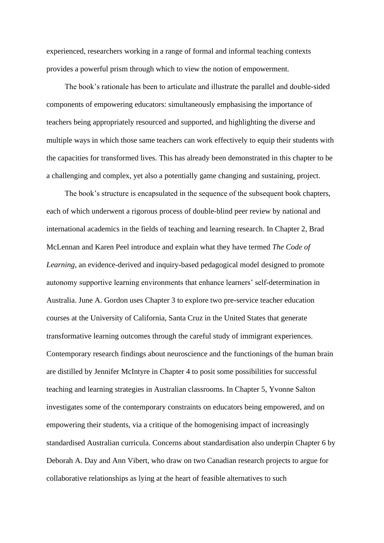experienced, researchers working in a range of formal and informal teaching contexts provides a powerful prism through which to view the notion of empowerment.

The book's rationale has been to articulate and illustrate the parallel and double-sided components of empowering educators: simultaneously emphasising the importance of teachers being appropriately resourced and supported, and highlighting the diverse and multiple ways in which those same teachers can work effectively to equip their students with the capacities for transformed lives. This has already been demonstrated in this chapter to be a challenging and complex, yet also a potentially game changing and sustaining, project.

The book's structure is encapsulated in the sequence of the subsequent book chapters, each of which underwent a rigorous process of double-blind peer review by national and international academics in the fields of teaching and learning research. In Chapter 2, Brad McLennan and Karen Peel introduce and explain what they have termed *The Code of Learning*, an evidence-derived and inquiry-based pedagogical model designed to promote autonomy supportive learning environments that enhance learners' self-determination in Australia. June A. Gordon uses Chapter 3 to explore two pre-service teacher education courses at the University of California, Santa Cruz in the United States that generate transformative learning outcomes through the careful study of immigrant experiences. Contemporary research findings about neuroscience and the functionings of the human brain are distilled by Jennifer McIntyre in Chapter 4 to posit some possibilities for successful teaching and learning strategies in Australian classrooms. In Chapter 5, Yvonne Salton investigates some of the contemporary constraints on educators being empowered, and on empowering their students, via a critique of the homogenising impact of increasingly standardised Australian curricula. Concerns about standardisation also underpin Chapter 6 by Deborah A. Day and Ann Vibert, who draw on two Canadian research projects to argue for collaborative relationships as lying at the heart of feasible alternatives to such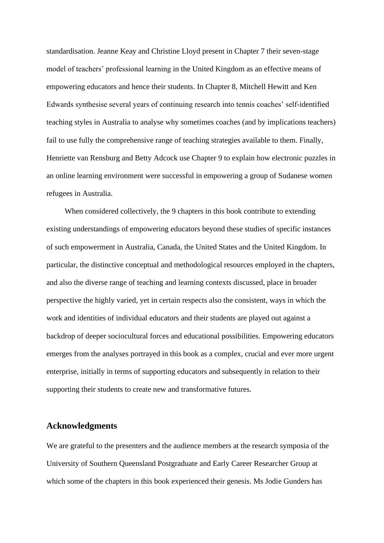standardisation. Jeanne Keay and Christine Lloyd present in Chapter 7 their seven-stage model of teachers' professional learning in the United Kingdom as an effective means of empowering educators and hence their students. In Chapter 8, Mitchell Hewitt and Ken Edwards synthesise several years of continuing research into tennis coaches' self-identified teaching styles in Australia to analyse why sometimes coaches (and by implications teachers) fail to use fully the comprehensive range of teaching strategies available to them. Finally, Henriette van Rensburg and Betty Adcock use Chapter 9 to explain how electronic puzzles in an online learning environment were successful in empowering a group of Sudanese women refugees in Australia.

When considered collectively, the 9 chapters in this book contribute to extending existing understandings of empowering educators beyond these studies of specific instances of such empowerment in Australia, Canada, the United States and the United Kingdom. In particular, the distinctive conceptual and methodological resources employed in the chapters, and also the diverse range of teaching and learning contexts discussed, place in broader perspective the highly varied, yet in certain respects also the consistent, ways in which the work and identities of individual educators and their students are played out against a backdrop of deeper sociocultural forces and educational possibilities. Empowering educators emerges from the analyses portrayed in this book as a complex, crucial and ever more urgent enterprise, initially in terms of supporting educators and subsequently in relation to their supporting their students to create new and transformative futures.

### **Acknowledgments**

We are grateful to the presenters and the audience members at the research symposia of the University of Southern Queensland Postgraduate and Early Career Researcher Group at which some of the chapters in this book experienced their genesis. Ms Jodie Gunders has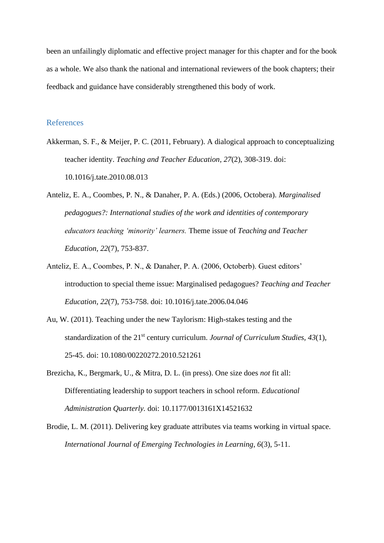been an unfailingly diplomatic and effective project manager for this chapter and for the book as a whole. We also thank the national and international reviewers of the book chapters; their feedback and guidance have considerably strengthened this body of work.

#### References

- Akkerman, S. F., & Meijer, P. C. (2011, February). A dialogical approach to conceptualizing teacher identity. *Teaching and Teacher Education, 27*(2), 308-319. doi: [10.1016/j.tate.2010.08.013](http://dx.doi.org/10.1016/j.tate.2010.08.013)
- Anteliz, E. A., Coombes, P. N., & Danaher, P. A. (Eds.) (2006, Octobera). *Marginalised pedagogues?: International studies of the work and identities of contemporary educators teaching 'minority' learners.* Theme issue of *Teaching and Teacher Education, 22*(7), 753-837.
- Anteliz, E. A., Coombes, P. N., & Danaher, P. A. (2006, Octoberb). Guest editors' introduction to special theme issue: Marginalised pedagogues? *Teaching and Teacher Education, 22*(7), 753-758. doi: [10.1016/j.tate.2006.04.046](http://dx.doi.org/10.1016/j.tate.2006.04.046)
- Au, W. (2011). Teaching under the new Taylorism: High-stakes testing and the standardization of the 21<sup>st</sup> century curriculum. *Journal of Curriculum Studies, 43*(1), 25-45. doi: 10.1080/00220272.2010.521261
- Brezicha, K., Bergmark, U., & Mitra, D. L. (in press). One size does *not* fit all: Differentiating leadership to support teachers in school reform. *Educational Administration Quarterly.* doi: 10.1177/0013161X14521632
- Brodie, L. M. (2011). Delivering key graduate attributes via teams working in virtual space. *International Journal of Emerging Technologies in Learning, 6*(3), 5-11.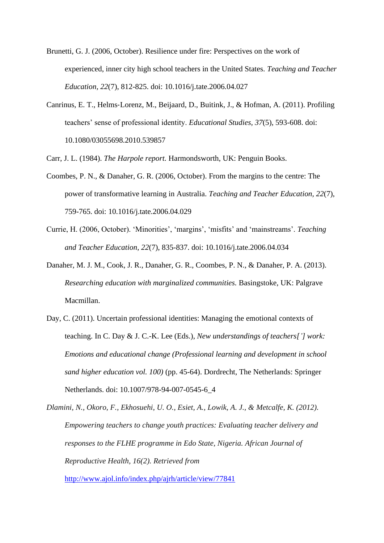- Brunetti, G. J. (2006, October). Resilience under fire: Perspectives on the work of experienced, inner city high school teachers in the United States. *Teaching and Teacher Education, 22*(7), 812-825. doi: [10.1016/j.tate.2006.04.027](http://dx.doi.org/10.1016/j.tate.2006.04.027)
- Canrinus, E. T., Helms‐Lorenz, M., Beijaard, D., Buitink, J., & Hofman, A. (2011). Profiling teachers' sense of professional identity. *Educational Studies, 37*(5), 593-608. doi: 10.1080/03055698.2010.539857

Carr, J. L. (1984). *The Harpole report.* Harmondsworth, UK: Penguin Books.

- Coombes, P. N., & Danaher, G. R. (2006, October). From the margins to the centre: The power of transformative learning in Australia. *Teaching and Teacher Education, 22*(7), 759-765. doi: [10.1016/j.tate.2006.04.029](http://dx.doi.org/10.1016/j.tate.2006.04.029)
- Currie, H. (2006, October). 'Minorities', 'margins', 'misfits' and 'mainstreams'. *Teaching and Teacher Education, 22*(7), 835-837. doi: [10.1016/j.tate.2006.04.034](http://dx.doi.org/10.1016/j.tate.2006.04.034)
- Danaher, M. J. M., Cook, J. R., Danaher, G. R., Coombes, P. N., & Danaher, P. A. (2013). *Researching education with marginalized communities.* Basingstoke, UK: Palgrave Macmillan.
- Day, C. (2011). Uncertain professional identities: Managing the emotional contexts of teaching. In C. Day & J. C.-K. Lee (Eds.), *New understandings of teachers['] work: Emotions and educational change (Professional learning and development in school sand higher education vol. 100)* (pp. 45-64). Dordrecht, The Netherlands: Springer Netherlands. doi: 10.1007/978-94-007-0545-6\_4

*Dlamini, N., Okoro, F., Ekhosuehi, U. O., Esiet, A., Lowik, A. J., & Metcalfe, K. (2012). Empowering teachers to change youth practices: Evaluating teacher delivery and responses to the FLHE programme in Edo State, Nigeria. African Journal of Reproductive Health, 16(2). Retrieved from* 

<http://www.ajol.info/index.php/ajrh/article/view/77841>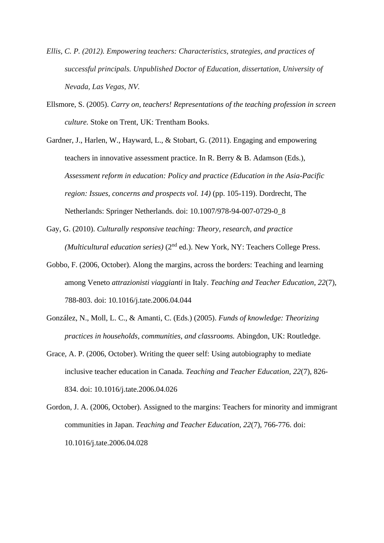- *Ellis, C. P. (2012). Empowering teachers: Characteristics, strategies, and practices of successful principals. Unpublished Doctor of Education, dissertation, University of Nevada, Las Vegas, NV.*
- Ellsmore, S. (2005). *Carry on, teachers! Representations of the teaching profession in screen culture.* Stoke on Trent, UK: Trentham Books.
- Gardner, J., Harlen, W., Hayward, L., & Stobart, G. (2011). Engaging and empowering teachers in innovative assessment practice. In R. Berry & B. Adamson (Eds.), *Assessment reform in education: Policy and practice (Education in the Asia-Pacific region: Issues, concerns and prospects vol. 14)* (pp. 105-119). Dordrecht, The Netherlands: Springer Netherlands. doi: 10.1007/978-94-007-0729-0\_8
- Gay, G. (2010). *Culturally responsive teaching: Theory, research, and practice (Multicultural education series)* (2nd ed.). New York, NY: Teachers College Press.
- Gobbo, F. (2006, October). Along the margins, across the borders: Teaching and learning among Veneto *attrazionisti viaggianti* in Italy. *Teaching and Teacher Education, 22*(7), 788-803. doi: [10.1016/j.tate.2006.04.044](http://dx.doi.org/10.1016/j.tate.2006.04.044)
- González, N., Moll, L. C., & Amanti, C. (Eds.) (2005). *Funds of knowledge: Theorizing practices in households, communities, and classrooms.* Abingdon, UK: Routledge.
- Grace, A. P. (2006, October). Writing the queer self: Using autobiography to mediate inclusive teacher education in Canada. *Teaching and Teacher Education, 22*(7), 826- 834. doi: [10.1016/j.tate.2006.04.026](http://dx.doi.org/10.1016/j.tate.2006.04.026)
- Gordon, J. A. (2006, October). Assigned to the margins: Teachers for minority and immigrant communities in Japan. *Teaching and Teacher Education, 22*(7), 766-776. [doi:](http://dx.doi.org/10.1016/j.tate.2006.04.028) [10.1016/j.tate.2006.04.028](http://dx.doi.org/10.1016/j.tate.2006.04.028)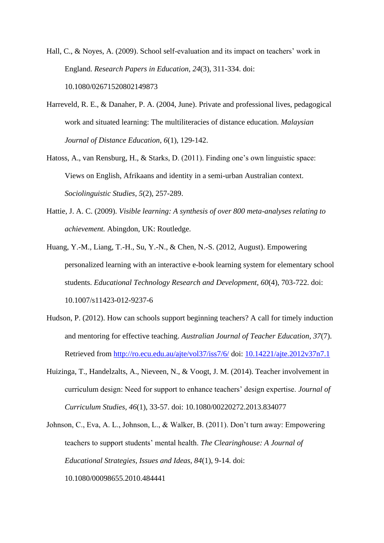Hall, C., & Noyes, A. (2009). School self-evaluation and its impact on teachers' work in England. *Research Papers in Education, 24*(3), 311-334. doi: 10.1080/02671520802149873

- Harreveld, R. E., & Danaher, P. A. (2004, June). Private and professional lives, pedagogical work and situated learning: The multiliteracies of distance education. *Malaysian Journal of Distance Education, 6*(1), 129-142.
- Hatoss, A., van Rensburg, H., & Starks, D. (2011). Finding one's own linguistic space: Views on English, Afrikaans and identity in a semi-urban Australian context. *Sociolinguistic Studies, 5*(2), 257-289.
- Hattie, J. A. C. (2009). *Visible learning: A synthesis of over 800 meta-analyses relating to achievement.* Abingdon, UK: Routledge.
- Huang, Y.-M., Liang, T.-H., Su, Y.-N., & Chen, N.-S. (2012, August). Empowering personalized learning with an interactive e-book learning system for elementary school students. *Educational Technology Research and Development, 60*(4), 703-722. doi: 10.1007/s11423-012-9237-6
- Hudson, P. (2012). How can schools support beginning teachers? A call for timely induction and mentoring for effective teaching. *Australian Journal of Teacher Education, 37*(7). Retrieved from<http://ro.ecu.edu.au/ajte/vol37/iss7/6/> doi: [10.14221/ajte.2012v37n7.1](http://dx.doi.org/10.14221/ajte.2012v37n7.1)
- Huizinga, T., Handelzalts, A., Nieveen, N., & Voogt, J. M. (2014). Teacher involvement in curriculum design: Need for support to enhance teachers' design expertise. *Journal of Curriculum Studies, 46*(1), 33-57. doi: 10.1080/00220272.2013.834077
- Johnson, C., Eva, A. L., Johnson, L., & Walker, B. (2011). Don't turn away: Empowering teachers to support students' mental health. *The Clearinghouse: A Journal of Educational Strategies, Issues and Ideas, 84*(1), 9-14. doi: 10.1080/00098655.2010.484441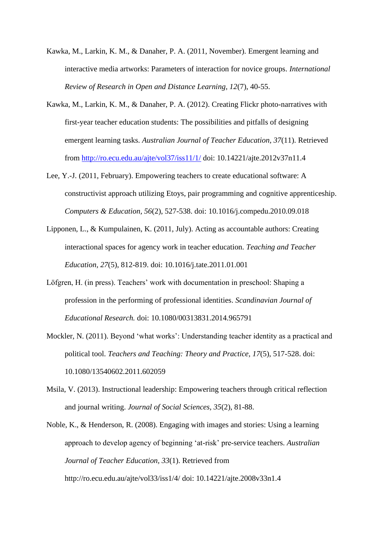- Kawka, M., Larkin, K. M., & Danaher, P. A. (2011, November). Emergent learning and interactive media artworks: Parameters of interaction for novice groups. *International Review of Research in Open and Distance Learning, 12*(7), 40-55.
- Kawka, M., Larkin, K. M., & Danaher, P. A. (2012). Creating Flickr photo-narratives with first-year teacher education students: The possibilities and pitfalls of designing emergent learning tasks. *Australian Journal of Teacher Education, 37*(11). Retrieved from<http://ro.ecu.edu.au/ajte/vol37/iss11/1/> doi: 10.14221/ajte.2012v37n11.4
- Lee, Y.-J. (2011, February). Empowering teachers to create educational software: A constructivist approach utilizing Etoys, pair programming and cognitive apprenticeship. *Computers & Education, 56*(2), 527-538. doi: [10.1016/j.compedu.2010.09.018](http://dx.doi.org/10.1016/j.compedu.2010.09.018)
- [Lipponen,](http://www.sciencedirect.com/science/article/pii/S0742051X11000023) L., & [Kumpulainen,](http://www.sciencedirect.com/science/article/pii/S0742051X11000023) K. (2011, July). Acting as accountable authors: Creating interactional spaces for agency work in teacher education. *Teaching and Teacher Education, 27*(5), 812-819. doi: [10.1016/j.tate.2011.01.001](http://dx.doi.org/10.1016/j.tate.2011.01.001)
- Löfgren, H. (in press). Teachers' work with documentation in preschool: Shaping a profession in the performing of professional identities. *Scandinavian Journal of Educational Research.* doi: 10.1080/00313831.2014.965791
- Mockler, N. (2011). Beyond 'what works': Understanding teacher identity as a practical and political tool. *Teachers and Teaching: Theory and Practice, 17*(5), 517-528. doi: 10.1080/13540602.2011.602059
- Msila, V. (2013). Instructional leadership: Empowering teachers through critical reflection and journal writing. *Journal of Social Sciences, 35*(2), 81-88.

Noble, K., & Henderson, R. (2008). Engaging with images and stories: Using a learning approach to develop agency of beginning 'at-risk' pre-service teachers. *Australian Journal of Teacher Education, 33*(1). Retrieved from

http://ro.ecu.edu.au/ajte/vol33/iss1/4/ doi: 10.14221/ajte.2008v33n1.4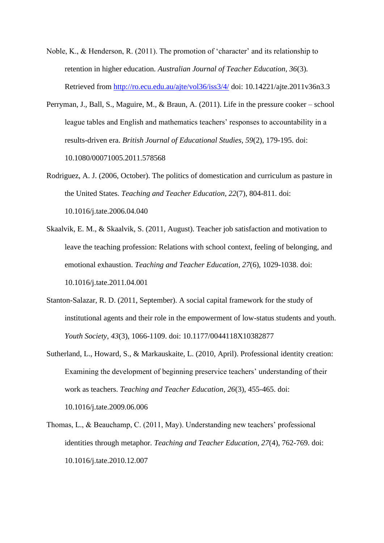- Noble, K., & Henderson, R. (2011). The promotion of 'character' and its relationship to retention in higher education. *Australian Journal of Teacher Education, 36*(3). Retrieved from<http://ro.ecu.edu.au/ajte/vol36/iss3/4/> doi: 10.14221/ajte.2011v36n3.3
- Perryman, J., Ball, S., Maguire, M., & Braun, A. (2011). Life in the pressure cooker school league tables and English and mathematics teachers' responses to accountability in a results-driven era. *British Journal of Educational Studies, 59*(2), 179-195. doi: 10.1080/00071005.2011.578568
- Rodriguez, A. J. (2006, October). The politics of domestication and curriculum as pasture in the United States. *Teaching and Teacher Education, 22*(7), 804-811. doi: [10.1016/j.tate.2006.04.040](http://dx.doi.org/10.1016/j.tate.2006.04.040)
- Skaalvik, E. M., & Skaalvik, S. (2011, August). Teacher job satisfaction and motivation to leave the teaching profession: Relations with school context, feeling of belonging, and emotional exhaustion. *Teaching and Teacher Education, 27*(6), 1029-1038. doi: [10.1016/j.tate.2011.04.001](http://dx.doi.org/10.1016/j.tate.2011.04.001)
- Stanton-Salazar, R. D. (2011, September). A social capital framework for the study of institutional agents and their role in the empowerment of low-status students and youth. *Youth Society, 43*(3), 1066-1109. doi: 10.1177/0044118X10382877
- Sutherland, L., Howard, S., & Markauskaite, L. (2010, April). Professional identity creation: Examining the development of beginning preservice teachers' understanding of their work as teachers. *Teaching and Teacher Education, 26*(3), 455-465. doi: [10.1016/j.tate.2009.06.006](http://dx.doi.org/10.1016/j.tate.2009.06.006)
- Thomas, L., & Beauchamp, C. (2011, May). Understanding new teachers' professional identities through metaphor. *Teaching and Teacher Education, 27*(4), 762-769. doi: [10.1016/j.tate.2010.12.007](http://dx.doi.org/10.1016/j.tate.2010.12.007)